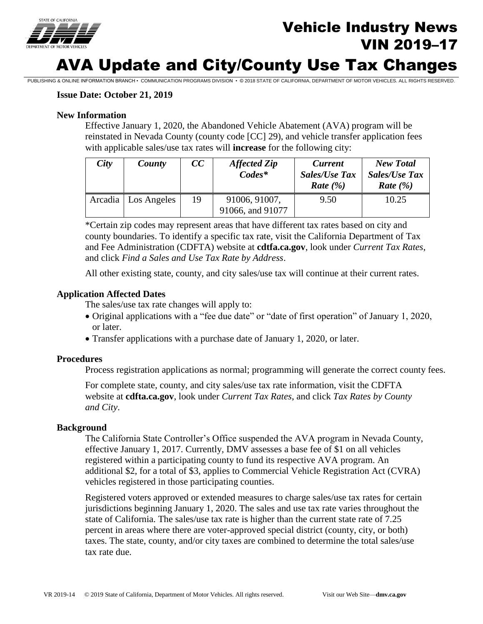

## Vehicle Industry News VIN 2019–17

# AVA Update and City/County Use Tax Changes

PUBLISHING & ONLINE INFORMATION BRANCH • COMMUNICATION PROGRAMS DIVISION • © 2018 STATE OF CALIFORNIA, DEPARTMENT OF MOTOR VEHICLES. ALL RIGHTS RESERVED.

### **Issue Date: October 21, 2019**

### **New Information**

Effective January 1, 2020, the Abandoned Vehicle Abatement (AVA) program will be reinstated in Nevada County (county code [CC] 29), and vehicle transfer application fees with applicable sales/use tax rates will **increase** for the following city:

| City | County                | cc | <b>Affected Zip</b><br>$Codes^*$  | <b>Current</b><br><b>Sales/Use Tax</b><br>Rate $(\% )$ | <b>New Total</b><br><b>Sales/Use Tax</b><br>Rate $(\% )$ |
|------|-----------------------|----|-----------------------------------|--------------------------------------------------------|----------------------------------------------------------|
|      | Arcadia   Los Angeles | 19 | 91006, 91007,<br>91066, and 91077 | 9.50                                                   | 10.25                                                    |

\*Certain zip codes may represent areas that have different tax rates based on city and county boundaries. To identify a specific tax rate, visit the California Department of Tax and Fee Administration (CDFTA) website at **cdtfa.ca.gov**, look under *Current Tax Rates*, and click *Find a Sales and Use Tax Rate by Address*.

All other existing state, county, and city sales/use tax will continue at their current rates.

### **Application Affected Dates**

The sales/use tax rate changes will apply to:

- Original applications with a "fee due date" or "date of first operation" of January 1, 2020, or later.
- Transfer applications with a purchase date of January 1, 2020, or later.

### **Procedures**

Process registration applications as normal; programming will generate the correct county fees.

For complete state, county, and city sales/use tax rate information, visit the CDFTA website at **cdfta.ca.gov**, look under *Current Tax Rates*, and click *Tax Rates by County and City*.

### **Background**

The California State Controller's Office suspended the AVA program in Nevada County, effective January 1, 2017. Currently, DMV assesses a base fee of \$1 on all vehicles registered within a participating county to fund its respective AVA program. An additional \$2, for a total of \$3, applies to Commercial Vehicle Registration Act (CVRA) vehicles registered in those participating counties.

Registered voters approved or extended measures to charge sales/use tax rates for certain jurisdictions beginning January 1, 2020. The sales and use tax rate varies throughout the state of California. The sales/use tax rate is higher than the current state rate of 7.25 percent in areas where there are voter-approved special district (county, city, or both) taxes. The state, county, and/or city taxes are combined to determine the total sales/use tax rate due.